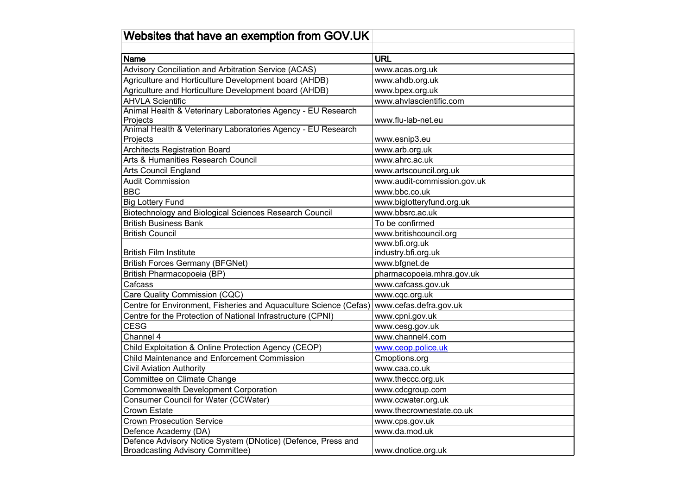| Websites that have an exemption from GOV.UK                                                          |                                                 |
|------------------------------------------------------------------------------------------------------|-------------------------------------------------|
|                                                                                                      |                                                 |
| <b>Name</b>                                                                                          | <b>URL</b>                                      |
| Advisory Conciliation and Arbitration Service (ACAS)                                                 | www.acas.org.uk                                 |
| Agriculture and Horticulture Development board (AHDB)                                                | www.ahdb.org.uk                                 |
| Agriculture and Horticulture Development board (AHDB)                                                | www.bpex.org.uk                                 |
| <b>AHVLA Scientific</b>                                                                              | www.ahvlascientific.com                         |
| Animal Health & Veterinary Laboratories Agency - EU Research                                         |                                                 |
| Projects                                                                                             | www.flu-lab-net.eu                              |
| Animal Health & Veterinary Laboratories Agency - EU Research                                         |                                                 |
| Projects                                                                                             | www.esnip3.eu                                   |
| <b>Architects Registration Board</b>                                                                 | www.arb.org.uk                                  |
| Arts & Humanities Research Council                                                                   | www.ahrc.ac.uk                                  |
| <b>Arts Council England</b>                                                                          | www.artscouncil.org.uk                          |
| <b>Audit Commission</b>                                                                              | www.audit-commission.gov.uk                     |
| <b>BBC</b>                                                                                           | www.bbc.co.uk                                   |
| <b>Big Lottery Fund</b>                                                                              | www.biglotteryfund.org.uk                       |
| Biotechnology and Biological Sciences Research Council                                               | www.bbsrc.ac.uk                                 |
| <b>British Business Bank</b>                                                                         | To be confirmed                                 |
| <b>British Council</b>                                                                               | www.britishcouncil.org                          |
| <b>British Film Institute</b>                                                                        | www.bfi.org.uk                                  |
| <b>British Forces Germany (BFGNet)</b>                                                               | industry.bfi.org.uk<br>www.bfgnet.de            |
|                                                                                                      |                                                 |
| British Pharmacopoeia (BP)<br>Cafcass                                                                | pharmacopoeia.mhra.gov.uk<br>www.cafcass.gov.uk |
| Care Quality Commission (CQC)                                                                        | www.cqc.org.uk                                  |
| Centre for Environment, Fisheries and Aquaculture Science (Cefas)                                    | www.cefas.defra.gov.uk                          |
| Centre for the Protection of National Infrastructure (CPNI)                                          | www.cpni.gov.uk                                 |
| <b>CESG</b>                                                                                          |                                                 |
| Channel 4                                                                                            | www.cesg.gov.uk<br>www.channel4.com             |
|                                                                                                      |                                                 |
| Child Exploitation & Online Protection Agency (CEOP)<br>Child Maintenance and Enforcement Commission | www.ceop.police.uk                              |
|                                                                                                      | Cmoptions.org                                   |
| <b>Civil Aviation Authority</b>                                                                      | www.caa.co.uk                                   |
| Committee on Climate Change                                                                          | www.theccc.org.uk                               |
| <b>Commonwealth Development Corporation</b>                                                          | www.cdcgroup.com                                |
| <b>Consumer Council for Water (CCWater)</b>                                                          | www.ccwater.org.uk                              |
| <b>Crown Estate</b>                                                                                  | www.thecrownestate.co.uk                        |
| <b>Crown Prosecution Service</b>                                                                     | www.cps.gov.uk                                  |
| Defence Academy (DA)                                                                                 | www.da.mod.uk                                   |
| Defence Advisory Notice System (DNotice) (Defence, Press and                                         |                                                 |
| <b>Broadcasting Advisory Committee)</b>                                                              | www.dnotice.org.uk                              |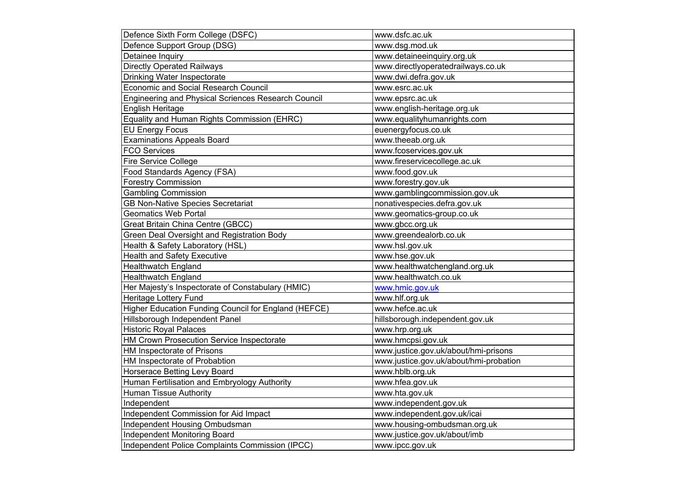| Defence Sixth Form College (DSFC)                    | www.dsfc.ac.uk                         |
|------------------------------------------------------|----------------------------------------|
| Defence Support Group (DSG)                          | www.dsg.mod.uk                         |
| Detainee Inquiry                                     | www.detaineeinquiry.org.uk             |
| <b>Directly Operated Railways</b>                    | www.directlyoperatedrailways.co.uk     |
| Drinking Water Inspectorate                          | www.dwi.defra.gov.uk                   |
| <b>Economic and Social Research Council</b>          | www.esrc.ac.uk                         |
| Engineering and Physical Scriences Research Council  | www.epsrc.ac.uk                        |
| English Heritage                                     | www.english-heritage.org.uk            |
| Equality and Human Rights Commission (EHRC)          | www.equalityhumanrights.com            |
| <b>EU Energy Focus</b>                               | euenergyfocus.co.uk                    |
| <b>Examinations Appeals Board</b>                    | www.theeab.org.uk                      |
| <b>FCO Services</b>                                  | www.fcoservices.gov.uk                 |
| <b>Fire Service College</b>                          | www.fireservicecollege.ac.uk           |
| Food Standards Agency (FSA)                          | www.food.gov.uk                        |
| <b>Forestry Commission</b>                           | www.forestry.gov.uk                    |
| <b>Gambling Commission</b>                           | www.gamblingcommission.gov.uk          |
| <b>GB Non-Native Species Secretariat</b>             | nonativespecies.defra.gov.uk           |
| <b>Geomatics Web Portal</b>                          | www.geomatics-group.co.uk              |
| Great Britain China Centre (GBCC)                    | www.gbcc.org.uk                        |
| Green Deal Oversight and Registration Body           | www.greendealorb.co.uk                 |
| Health & Safety Laboratory (HSL)                     | www.hsl.gov.uk                         |
| <b>Health and Safety Executive</b>                   | www.hse.gov.uk                         |
| <b>Healthwatch England</b>                           | www.healthwatchengland.org.uk          |
| <b>Healthwatch England</b>                           | www.healthwatch.co.uk                  |
| Her Majesty's Inspectorate of Constabulary (HMIC)    | www.hmic.gov.uk                        |
| Heritage Lottery Fund                                | www.hlf.org.uk                         |
| Higher Education Funding Council for England (HEFCE) | www.hefce.ac.uk                        |
| Hillsborough Independent Panel                       | hillsborough.independent.gov.uk        |
| <b>Historic Royal Palaces</b>                        | www.hrp.org.uk                         |
| HM Crown Prosecution Service Inspectorate            | www.hmcpsi.gov.uk                      |
| HM Inspectorate of Prisons                           | www.justice.gov.uk/about/hmi-prisons   |
| HM Inspectorate of Probabtion                        | www.justice.gov.uk/about/hmi-probation |
| Horserace Betting Levy Board                         | www.hblb.org.uk                        |
| Human Fertilisation and Embryology Authority         | www.hfea.gov.uk                        |
| <b>Human Tissue Authority</b>                        | www.hta.gov.uk                         |
| Independent                                          | www.independent.gov.uk                 |
| Independent Commission for Aid Impact                | www.independent.gov.uk/icai            |
| Independent Housing Ombudsman                        | www.housing-ombudsman.org.uk           |
| Independent Monitoring Board                         | www.justice.gov.uk/about/imb           |
| Independent Police Complaints Commission (IPCC)      | www.ipcc.gov.uk                        |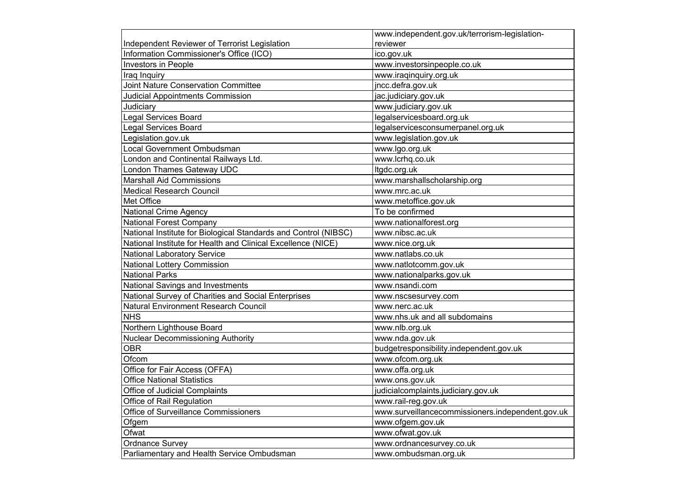|                                                                 | www.independent.gov.uk/terrorism-legislation-    |
|-----------------------------------------------------------------|--------------------------------------------------|
| Independent Reviewer of Terrorist Legislation                   | reviewer                                         |
| Information Commissioner's Office (ICO)                         | ico.gov.uk                                       |
| Investors in People                                             | www.investorsinpeople.co.uk                      |
| Iraq Inquiry                                                    | www.iraqinquiry.org.uk                           |
| Joint Nature Conservation Committee                             | jncc.defra.gov.uk                                |
| <b>Judicial Appointments Commission</b>                         | jac.judiciary.gov.uk                             |
| Judiciary                                                       | www.judiciary.gov.uk                             |
| <b>Legal Services Board</b>                                     | legalservicesboard.org.uk                        |
| <b>Legal Services Board</b>                                     | legalservicesconsumerpanel.org.uk                |
| Legislation.gov.uk                                              | www.legislation.gov.uk                           |
| Local Government Ombudsman                                      | www.lgo.org.uk                                   |
| London and Continental Railways Ltd.                            | www.lcrhq.co.uk                                  |
| London Thames Gateway UDC                                       | Itgdc.org.uk                                     |
| <b>Marshall Aid Commissions</b>                                 | www.marshallscholarship.org                      |
| <b>Medical Research Council</b>                                 | www.mrc.ac.uk                                    |
| Met Office                                                      | www.metoffice.gov.uk                             |
| <b>National Crime Agency</b>                                    | To be confirmed                                  |
| <b>National Forest Company</b>                                  | www.nationalforest.org                           |
| National Institute for Biological Standards and Control (NIBSC) | www.nibsc.ac.uk                                  |
| National Institute for Health and Clinical Excellence (NICE)    | www.nice.org.uk                                  |
| <b>National Laboratory Service</b>                              | www.natlabs.co.uk                                |
| National Lottery Commission                                     | www.natlotcomm.gov.uk                            |
| <b>National Parks</b>                                           | www.nationalparks.gov.uk                         |
| National Savings and Investments                                | www.nsandi.com                                   |
| National Survey of Charities and Social Enterprises             | www.nscsesurvey.com                              |
| Natural Environment Research Council                            | www.nerc.ac.uk                                   |
| <b>NHS</b>                                                      | www.nhs.uk and all subdomains                    |
| Northern Lighthouse Board                                       | www.nlb.org.uk                                   |
| <b>Nuclear Decommissioning Authority</b>                        | www.nda.gov.uk                                   |
| <b>OBR</b>                                                      | budgetresponsibility.independent.gov.uk          |
| Ofcom                                                           | www.ofcom.org.uk                                 |
| Office for Fair Access (OFFA)                                   | www.offa.org.uk                                  |
| <b>Office National Statistics</b>                               | www.ons.gov.uk                                   |
| Office of Judicial Complaints                                   | judicialcomplaints.judiciary.gov.uk              |
| Office of Rail Regulation                                       | www.rail-reg.gov.uk                              |
| Office of Surveillance Commissioners                            | www.surveillancecommissioners.independent.gov.uk |
| Ofgem                                                           | www.ofgem.gov.uk                                 |
| Ofwat                                                           | www.ofwat.gov.uk                                 |
| <b>Ordnance Survey</b>                                          | www.ordnancesurvey.co.uk                         |
| Parliamentary and Health Service Ombudsman                      | www.ombudsman.org.uk                             |
|                                                                 |                                                  |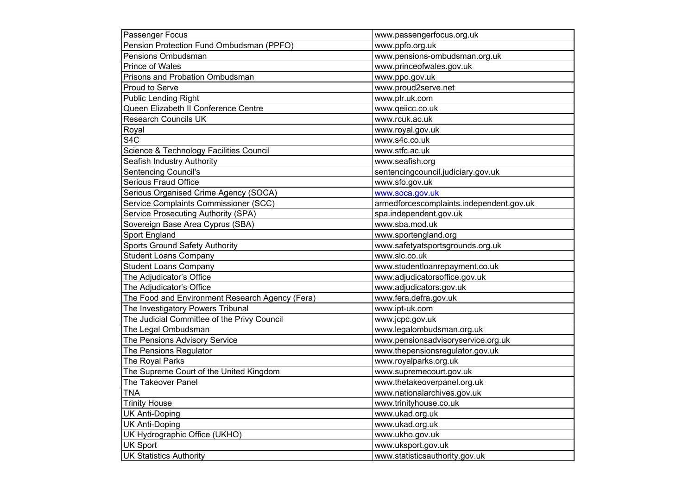| www.passengerfocus.org.uk<br>Pension Protection Fund Ombudsman (PPFO)<br>www.ppfo.org.uk<br>www.pensions-ombudsman.org.uk<br>Pensions Ombudsman<br><b>Prince of Wales</b><br>www.princeofwales.gov.uk<br>Prisons and Probation Ombudsman<br>www.ppo.gov.uk<br>Proud to Serve<br>www.proud2serve.net<br><b>Public Lending Right</b><br>www.plr.uk.com |
|------------------------------------------------------------------------------------------------------------------------------------------------------------------------------------------------------------------------------------------------------------------------------------------------------------------------------------------------------|
|                                                                                                                                                                                                                                                                                                                                                      |
|                                                                                                                                                                                                                                                                                                                                                      |
|                                                                                                                                                                                                                                                                                                                                                      |
|                                                                                                                                                                                                                                                                                                                                                      |
|                                                                                                                                                                                                                                                                                                                                                      |
|                                                                                                                                                                                                                                                                                                                                                      |
| Queen Elizabeth II Conference Centre<br>www.qeiicc.co.uk                                                                                                                                                                                                                                                                                             |
| <b>Research Councils UK</b><br>www.rcuk.ac.uk                                                                                                                                                                                                                                                                                                        |
| Royal<br>www.royal.gov.uk                                                                                                                                                                                                                                                                                                                            |
| S <sub>4</sub> C<br>www.s4c.co.uk                                                                                                                                                                                                                                                                                                                    |
| Science & Technology Facilities Council<br>www.stfc.ac.uk                                                                                                                                                                                                                                                                                            |
| Seafish Industry Authority<br>www.seafish.org                                                                                                                                                                                                                                                                                                        |
| <b>Sentencing Council's</b><br>sentencingcouncil.judiciary.gov.uk                                                                                                                                                                                                                                                                                    |
| Serious Fraud Office<br>www.sfo.gov.uk                                                                                                                                                                                                                                                                                                               |
| Serious Organised Crime Agency (SOCA)<br>www.soca.gov.uk                                                                                                                                                                                                                                                                                             |
| Service Complaints Commissioner (SCC)<br>armedforcescomplaints.independent.gov.uk                                                                                                                                                                                                                                                                    |
| Service Prosecuting Authority (SPA)<br>spa.independent.gov.uk                                                                                                                                                                                                                                                                                        |
| Sovereign Base Area Cyprus (SBA)<br>www.sba.mod.uk                                                                                                                                                                                                                                                                                                   |
| Sport England<br>www.sportengland.org                                                                                                                                                                                                                                                                                                                |
| Sports Ground Safety Authority<br>www.safetyatsportsgrounds.org.uk                                                                                                                                                                                                                                                                                   |
| <b>Student Loans Company</b><br>www.slc.co.uk                                                                                                                                                                                                                                                                                                        |
| <b>Student Loans Company</b><br>www.studentloanrepayment.co.uk                                                                                                                                                                                                                                                                                       |
| The Adjudicator's Office<br>www.adjudicatorsoffice.gov.uk                                                                                                                                                                                                                                                                                            |
| The Adjudicator's Office<br>www.adjudicators.gov.uk                                                                                                                                                                                                                                                                                                  |
| The Food and Environment Research Agency (Fera)<br>www.fera.defra.gov.uk                                                                                                                                                                                                                                                                             |
| The Investigatory Powers Tribunal<br>www.ipt-uk.com                                                                                                                                                                                                                                                                                                  |
| The Judicial Committee of the Privy Council<br>www.jcpc.gov.uk                                                                                                                                                                                                                                                                                       |
| www.legalombudsman.org.uk<br>The Legal Ombudsman                                                                                                                                                                                                                                                                                                     |
| www.pensionsadvisoryservice.org.uk<br>The Pensions Advisory Service                                                                                                                                                                                                                                                                                  |
| The Pensions Regulator<br>www.thepensionsregulator.gov.uk                                                                                                                                                                                                                                                                                            |
| The Royal Parks<br>www.royalparks.org.uk                                                                                                                                                                                                                                                                                                             |
| The Supreme Court of the United Kingdom<br>www.supremecourt.gov.uk                                                                                                                                                                                                                                                                                   |
| The Takeover Panel<br>www.thetakeoverpanel.org.uk                                                                                                                                                                                                                                                                                                    |
| <b>TNA</b><br>www.nationalarchives.gov.uk                                                                                                                                                                                                                                                                                                            |
| www.trinityhouse.co.uk<br><b>Trinity House</b>                                                                                                                                                                                                                                                                                                       |
| <b>UK Anti-Doping</b><br>www.ukad.org.uk                                                                                                                                                                                                                                                                                                             |
| <b>UK Anti-Doping</b><br>www.ukad.org.uk                                                                                                                                                                                                                                                                                                             |
| UK Hydrographic Office (UKHO)<br>www.ukho.gov.uk                                                                                                                                                                                                                                                                                                     |
| <b>UK Sport</b><br>www.uksport.gov.uk                                                                                                                                                                                                                                                                                                                |
| <b>UK Statistics Authority</b><br>www.statisticsauthority.gov.uk                                                                                                                                                                                                                                                                                     |